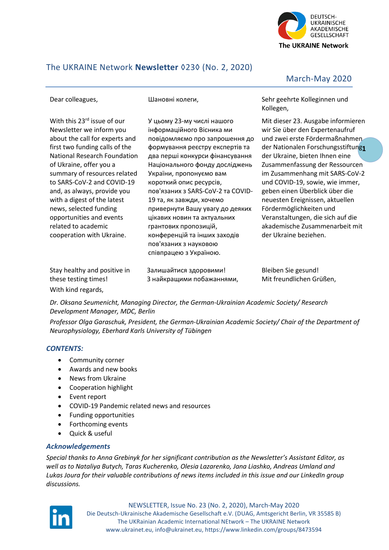

# The UKRAINE Network **Newsletter** ◊23◊ (No. 2, 2020)

Dear colleagues,

Шановні колеги,

With this 23<sup>rd</sup> issue of our Newsletter we inform you about the call for experts and first two funding calls of the National Research Foundation of Ukraine, offer you a summary of resources related to SARS-CoV-2 and COVID-19 and, as always, provide you with a digest of the latest news, selected funding opportunities and events related to academic cooperation with Ukraine.

У цьому 23-му числі нашого інформаційного Вісника ми повідомляємо про запрошення до формування реєстру експертів та два перші конкурси фінансування Національного фонду досліджень України, пропонуємо вам короткий опис ресурсів, пов'язаних з SARS-CoV-2 та COVID-19 та, як завжди, хочемо привернути Вашу увагу до деяких цікавих новин та актуальних грантових пропозицій, конференцій та інших заходів пов'язаних з науковою співпрацею з Україною.

March-May 2020

Sehr geehrte Kolleginnen und Kollegen,

**1** der Nationalen Forschungsstiftung Mit dieser 23. Ausgabe informieren wir Sie über den Expertenaufruf und zwei erste Fördermaßnahmen der Ukraine, bieten Ihnen eine Zusammenfassung der Ressourcen im Zusammenhang mit SARS-CoV-2 und COVID-19, sowie, wie immer, geben einen Überblick über die neuesten Ereignissen, aktuellen Fördermöglichkeiten und Veranstaltungen, die sich auf die akademische Zusammenarbeit mit der Ukraine beziehen.

| Stay healthy and positive in | Залишайтися здоровими!    | Bleiben Sie gesund!      |
|------------------------------|---------------------------|--------------------------|
| these testing times!         | 3 найкращими побажаннями, | Mit freundlichen Grüßen. |
| With kind regards,           |                           |                          |

*Dr. Oksana Seumenicht, Managing Director, the German-Ukrainian Academic Society/ Research Development Manager, MDC, Berlin*

*Professor Olga Garaschuk, President, the German-Ukrainian Academic Society/ Chair of the Department of Neurophysiology, Eberhard Karls University of Tübingen*

## *CONTENTS:*

- Community corner
- Awards and new books
- News from Ukraine
- Cooperation highlight
- Event report
- COVID-19 Pandemic related news and resources
- Funding opportunities
- Forthcoming events
- Quick & useful

# *Acknowledgements*

*Special thanks to Anna Grebinyk for her significant contribution as the Newsletter's Assistant Editor, as well as to Nataliya Butych, Taras Kucherenko, Olesia Lazarenko, Jana Liashko, Andreas Umland and Lukas Joura for their valuable contributions of news items included in this issue and our LinkedIn group discussions.*

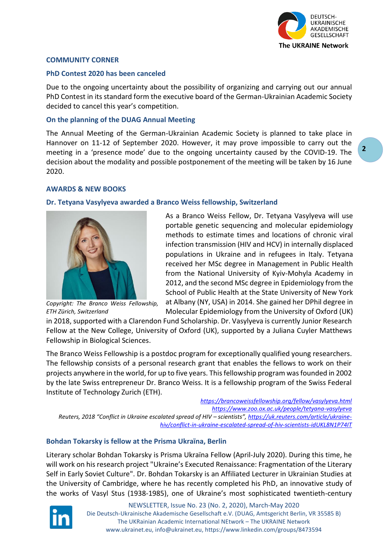

## **COMMUNITY CORNER**

#### **PhD Contest 2020 has been canceled**

Due to the ongoing uncertainty about the possibility of organizing and carrying out our annual PhD Contest in its standard form the executive board of the German-Ukrainian Academic Society decided to cancel this year's competition.

### **On the planning of the DUAG Annual Meeting**

The Annual Meeting of the German-Ukrainian Academic Society is planned to take place in Hannover on 11-12 of September 2020. However, it may prove impossible to carry out the meeting in a 'presence mode' due to the ongoing uncertainty caused by the COVID-19. The decision about the modality and possible postponement of the meeting will be taken by 16 June 2020.

#### **AWARDS & NEW BOOKS**

#### **Dr. Tetyana Vasylyeva awarded a Branco Weiss fellowship, Switzerland**



*Copyright: The Branco Weiss Fellowship, ETH Zürich, Switzerland*

As a Branco Weiss Fellow, Dr. Tetyana Vasylyeva will use portable genetic sequencing and molecular epidemiology methods to estimate times and locations of chronic viral infection transmission (HIV and HCV) in internally displaced populations in Ukraine and in refugees in Italy. Tetyana received her MSc degree in Management in Public Health from the National University of Kyiv-Mohyla Academy in 2012, and the second MSc degree in Epidemiology from the School of Public Health at the State University of New York at Albany (NY, USA) in 2014. She gained her DPhil degree in Molecular Epidemiology from the University of Oxford (UK)

in 2018, supported with a Clarendon Fund Scholarship. Dr. Vasylyeva is currently Junior Research Fellow at the New College, University of Oxford (UK), supported by a Juliana Cuyler Matthews Fellowship in Biological Sciences.

The Branco Weiss Fellowship is a postdoc program for exceptionally qualified young researchers. The fellowship consists of a personal research grant that enables the fellows to work on their projects anywhere in the world, for up to five years. This fellowship program was founded in 2002 by the late Swiss entrepreneur Dr. Branco Weiss. It is a fellowship program of the Swiss Federal Institute of Technology Zurich (ETH).

*<https://brancoweissfellowship.org/fellow/vasylyeva.html> <https://www.zoo.ox.ac.uk/people/tetyana-vasylyeva> Reuters, 2018 "Conflict in Ukraine escalated spread of HIV – scientists", [https://uk.reuters.com/article/ukraine](https://uk.reuters.com/article/ukraine-hiv/conflict-in-ukraine-escalated-spread-of-hiv-scientists-idUKL8N1P74IT)[hiv/conflict-in-ukraine-escalated-spread-of-hiv-scientists-idUKL8N1P74IT](https://uk.reuters.com/article/ukraine-hiv/conflict-in-ukraine-escalated-spread-of-hiv-scientists-idUKL8N1P74IT)*

## **Bohdan Tokarsky is fellow at the Prisma Ukraïna, Berlin**

Literary scholar Bohdan Tokarsky is Prisma Ukraïna Fellow (April-July 2020). During this time, he will work on his research project "Ukraine's Executed Renaissance: Fragmentation of the Literary Self in Early Soviet Culture". Dr. Bohdan Tokarsky is an Affiliated Lecturer in Ukrainian Studies at the University of Cambridge, where he has recently completed his PhD, an innovative study of the works of Vasyl Stus (1938-1985), one of Ukraine's most sophisticated twentieth-century

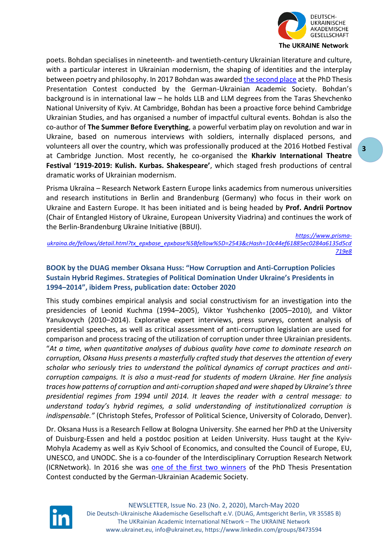

poets. Bohdan specialises in nineteenth- and twentieth-century Ukrainian literature and culture, with a particular interest in Ukrainian modernism, the shaping of identities and the interplay between poetry and philosophy. In 2017 Bohdan was awarded [the second place](https://ukrainet.eu/2017/10/08/the-winners-of-the-2017-phd-thesis-presentation-contest-have-been-announced/) at the PhD Thesis Presentation Contest conducted by the German-Ukrainian Academic Society. Bohdan's background is in international law – he holds LLB and LLM degrees from the Taras Shevchenko National University of Kyiv. At Cambridge, Bohdan has been a proactive force behind Cambridge Ukrainian Studies, and has organised a number of impactful cultural events. Bohdan is also the co-author of **The Summer Before Everything**, a powerful verbatim play on revolution and war in Ukraine, based on numerous interviews with soldiers, internally displaced persons, and volunteers all over the country, which was professionally produced at the 2016 Hotbed Festival at Cambridge Junction. Most recently, he co-organised the **Kharkiv International Theatre Festival '1919-2019: Kulish. Kurbas. Shakespeare'**, which staged fresh productions of central dramatic works of Ukrainian modernism.

Prisma Ukraïna – Research Network Eastern Europe links academics from numerous universities and research institutions in Berlin and Brandenburg (Germany) who focus in their work on Ukraine and Eastern Europe. It has been initiated and is being headed by **Prof. Andrii Portnov** (Chair of Entangled History of Ukraine, European University Viadrina) and continues the work of the Berlin-Brandenburg Ukraine Initiative (BBUI).

*[https://www.prisma](https://www.prisma-ukraina.de/fellows/detail.html?tx_epxbase_epxbase%5Bfellow%5D=2543&cHash=10c44ef61885ec0284a6135d5cd719e8)[ukraina.de/fellows/detail.html?tx\\_epxbase\\_epxbase%5Bfellow%5D=2543&cHash=10c44ef61885ec0284a6135d5cd](https://www.prisma-ukraina.de/fellows/detail.html?tx_epxbase_epxbase%5Bfellow%5D=2543&cHash=10c44ef61885ec0284a6135d5cd719e8) [719e8](https://www.prisma-ukraina.de/fellows/detail.html?tx_epxbase_epxbase%5Bfellow%5D=2543&cHash=10c44ef61885ec0284a6135d5cd719e8)*

# **BOOK by the DUAG member Oksana Huss: "How Corruption and Anti-Corruption Policies Sustain Hybrid Regimes. Strategies of Political Domination Under Ukraine's Presidents in 1994–2014", ibidem Press, publication date: October 2020**

This study combines empirical analysis and social constructivism for an investigation into the presidencies of Leonid Kuchma (1994–2005), Viktor Yushchenko (2005–2010), and Viktor Yanukovych (2010–2014). Explorative expert interviews, press surveys, content analysis of presidential speeches, as well as critical assessment of anti-corruption legislation are used for comparison and process tracing of the utilization of corruption under three Ukrainian presidents. "*At a time, when quantitative analyses of dubious quality have come to dominate research on corruption, Oksana Huss presents a masterfully crafted study that deserves the attention of every scholar who seriously tries to understand the political dynamics of corrupt practices and anticorruption campaigns. It is also a must-read for students of modern Ukraine. Her fine analysis traces how patterns of corruption and anti-corruption shaped and were shaped by Ukraine's three presidential regimes from 1994 until 2014. It leaves the reader with a central message: to understand today's hybrid regimes, a solid understanding of institutionalized corruption is indispensable."* (Christoph Stefes, Professor of Political Science, University of Colorado, Denver).

Dr. Oksana Huss is a Research Fellow at Bologna University. She earned her PhD at the University of Duisburg-Essen and held a postdoc position at Leiden University. Huss taught at the Kyiv-Mohyla Academy as well as Kyiv School of Economics, and consulted the Council of Europe, EU, UNESCO, and UNODC. She is a co-founder of the Interdisciplinary Corruption Research Network (ICRNetwork). In 2016 she was [one of the first two winners](https://ukrainet.eu/wp-content/uploads/2017/04/Press-release_Oct2016.pdf) of the PhD Thesis Presentation Contest conducted by the German-Ukrainian Academic Society.

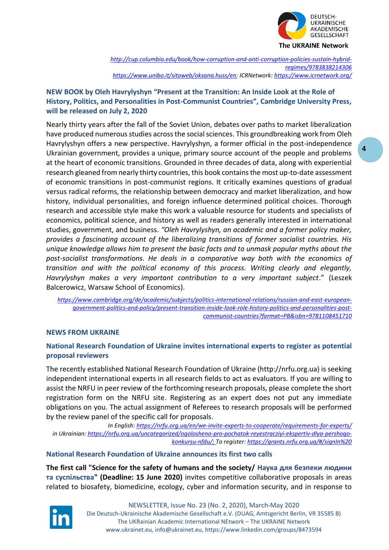

*[http://cup.columbia.edu/book/how-corruption-and-anti-corruption-policies-sustain-hybrid](http://cup.columbia.edu/book/how-corruption-and-anti-corruption-policies-sustain-hybrid-regimes/9783838214306)[regimes/9783838214306](http://cup.columbia.edu/book/how-corruption-and-anti-corruption-policies-sustain-hybrid-regimes/9783838214306) [https://www.unibo.it/sitoweb/oksana.huss/en;](https://www.unibo.it/sitoweb/oksana.huss/en) ICRNetwork:<https://www.icrnetwork.org/>*

# **NEW BOOK by Oleh Havrylyshyn "Present at the Transition: An Inside Look at the Role of History, Politics, and Personalities in Post-Communist Countries", Cambridge University Press, will be released on July 2, 2020**

Nearly thirty years after the fall of the Soviet Union, debates over paths to market liberalization have produced numerous studies across the social sciences. This groundbreaking work from Oleh Havrylyshyn offers a new perspective. Havrylyshyn, a former official in the post-independence Ukrainian government, provides a unique, primary source account of the people and problems at the heart of economic transitions. Grounded in three decades of data, along with experiential research gleaned from nearly thirty countries, this book contains the most up-to-date assessment of economic transitions in post-communist regions. It critically examines questions of gradual versus radical reforms, the relationship between democracy and market liberalization, and how history, individual personalities, and foreign influence determined political choices. Thorough research and accessible style make this work a valuable resource for students and specialists of economics, political science, and history as well as readers generally interested in international studies, government, and business. *"Oleh Havrylyshyn, an academic and a former policy maker, provides a fascinating account of the liberalizing transitions of former socialist countries. His unique knowledge allows him to present the basic facts and to unmask popular myths about the post-socialist transformations. He deals in a comparative way both with the economics of transition and with the political economy of this process. Writing clearly and elegantly, Havrylyshyn makes a very important contribution to a very important subject*." (Leszek Balcerowicz, Warsaw School of Economics).

*[https://www.cambridge.org/de/academic/subjects/politics-international-relations/russian-and-east-european](https://www.cambridge.org/de/academic/subjects/politics-international-relations/russian-and-east-european-government-politics-and-policy/present-transition-inside-look-role-history-politics-and-personalities-post-communist-countries?format=PB&isbn=9781108451710)[government-politics-and-policy/present-transition-inside-look-role-history-politics-and-personalities-post](https://www.cambridge.org/de/academic/subjects/politics-international-relations/russian-and-east-european-government-politics-and-policy/present-transition-inside-look-role-history-politics-and-personalities-post-communist-countries?format=PB&isbn=9781108451710)[communist-countries?format=PB&isbn=9781108451710](https://www.cambridge.org/de/academic/subjects/politics-international-relations/russian-and-east-european-government-politics-and-policy/present-transition-inside-look-role-history-politics-and-personalities-post-communist-countries?format=PB&isbn=9781108451710)*

## **NEWS FROM UKRAINE**

# **National Research Foundation of Ukraine invites international experts to register as potential proposal reviewers**

The recently established National Research Foundation of Ukraine (http://nrfu.org.ua) is seeking independent international experts in all research fields to act as evaluators. If you are willing to assist the NRFU in peer review of the forthcoming research proposals, please complete the short registration form on the NRFU site. Registering as an expert does not put any immediate obligations on you. The actual assignment of Referees to research proposals will be performed by the review panel of the specific call for proposals.

*In English:<https://nrfu.org.ua/en/we-invite-experts-to-cooperate/requirements-for-experts/> in Ukrainian[: https://nrfu.org.ua/uncategorized/ogolosheno-pro-pochatok-reyestracziyi-ekspertiv-dlya-pershogo](https://nrfu.org.ua/uncategorized/ogolosheno-pro-pochatok-reyestracziyi-ekspertiv-dlya-pershogo-konkursu-nfdu/)[konkursu-nfdu/;](https://nrfu.org.ua/uncategorized/ogolosheno-pro-pochatok-reyestracziyi-ekspertiv-dlya-pershogo-konkursu-nfdu/) To register: https://grants.nrfu.org.ua/#/signIn%20*

## **National Research Foundation of Ukraine announces its first two calls**

**The first call "Science for the safety of humans and the society/ Наука для безпеки людини та суспільства" (Deadline: 15 June 2020)** invites competitive collaborative proposals in areas related to biosafety, biomedicine, ecology, cyber and information security, and in response to

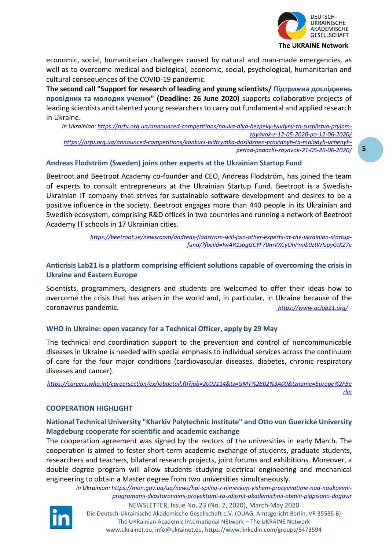

economic, social, humanitarian challenges caused by natural and man-made emergencies, as well as to overcome medical and biological, economic, social, psychological, humanitarian and cultural consequences of the COVID-19 pandemic.

**The second call "Support for research of leading and young scientists/ Підтримка досліджень провідних та молодих учених" (Deadline: 26 June 2020)** supports collaborative projects of leading scientists and talented young researchers to carry out fundamental and applied research in Ukraine.

*in Ukrainian: [https://nrfu.org.ua/announced-competitions/nauka-dlya-bezpeky-lyudyny-ta-suspilstva-pryjom](https://nrfu.org.ua/announced-competitions/nauka-dlya-bezpeky-lyudyny-ta-suspilstva-pryjom-zayavok-z-12-05-2020-po-12-06-2020/)[zayavok-z-12-05-2020-po-12-06-2020/](https://nrfu.org.ua/announced-competitions/nauka-dlya-bezpeky-lyudyny-ta-suspilstva-pryjom-zayavok-z-12-05-2020-po-12-06-2020/) [https://nrfu.org.ua/announced-competitions/konkurs-pidtrymka-doslidzhen-providnyh-ta-molodyh-uchenyh](https://nrfu.org.ua/announced-competitions/konkurs-pidtrymka-doslidzhen-providnyh-ta-molodyh-uchenyh-period-podachi-zayavok-21-05-26-06-2020/)[period-podachi-zayavok-21-05-26-06-2020/](https://nrfu.org.ua/announced-competitions/konkurs-pidtrymka-doslidzhen-providnyh-ta-molodyh-uchenyh-period-podachi-zayavok-21-05-26-06-2020/)*

## **Andreas Flodström (Sweden) joins other experts at the Ukrainian Startup Fund**

Beetroot and Beetroot Academy co-founder and CEO, Andreas Flodström, has joined the team of experts to consult entrepreneurs at the Ukrainian Startup Fund. Beetroot is a Swedish-Ukrainian IT company that strives for sustainable software development and desires to be a positive influence in the society. Beetroot engages more than 440 people in its Ukrainian and Swedish ecosystem, comprising R&D offices in two countries and running a network of Beetroot Academy IT schools in 17 Ukrainian cities.

> *[https://beetroot.se/newsroom/andreas-flodstrom-will-join-other-experts-at-the-ukrainian-startup](https://beetroot.se/newsroom/andreas-flodstrom-will-join-other-experts-at-the-ukrainian-startup-fund/?fbclid=IwAR1sbgGCYF70mVXCyOhPmib0ztWIspyGtKZ7c)[fund/?fbclid=IwAR1sbgGCYF70mVXCyOhPmib0ztWIspyGtKZ7c](https://beetroot.se/newsroom/andreas-flodstrom-will-join-other-experts-at-the-ukrainian-startup-fund/?fbclid=IwAR1sbgGCYF70mVXCyOhPmib0ztWIspyGtKZ7c)*

## **Anticrisis Lab21 is a platform comprising efficient solutions capable of overcoming the crisis in Ukraine and Eastern Europe**

Scientists, programmers, designers and students are welcomed to offer their ideas how to overcome the crisis that has arisen in the world and, in particular, in Ukraine because of the coronavirus pandemic. *<https://www.aclab21.org/>*

## **WHO in Ukraine: open vacancy for a Technical Officer, apply by 29 May**

The technical and coordination support to the prevention and control of noncommunicable diseases in Ukraine is needed with special emphasis to individual services across the continuum of care for the four major conditions (cardiovascular diseases, diabetes, chronic respiratory diseases and cancer).

*[https://careers.who.int/careersection/ex/jobdetail.ftl?job=2002114&tz=GMT%2B02%3A00&tzname=Europe%2FBe](https://careers.who.int/careersection/ex/jobdetail.ftl?job=2002114&tz=GMT%2B02%3A00&tzname=Europe%2FBerlin) [rlin](https://careers.who.int/careersection/ex/jobdetail.ftl?job=2002114&tz=GMT%2B02%3A00&tzname=Europe%2FBerlin)*

## **COOPERATION HIGHLIGHT**

## **National Technical University "Kharkiv Polytechnic Institute" and Otto von Guericke University Magdeburg cooperate for scientific and academic exchange**

The cooperation agreement was signed by the rectors of the universities in early March. The cooperation is aimed to foster short-term academic exchange of students, graduate students, researchers and teachers, bilateral research projects, joint forums and exhibitions. Moreover, a double degree program will allow students studying electrical engineering and mechanical engineering to obtain a Master degree from two universities simultaneously.

*in Ukrainian: [https://mon.gov.ua/ua/news/hpi-spilno-z-nimeckim-vishem-pracyuvatime-nad-naukovimi](https://mon.gov.ua/ua/news/hpi-spilno-z-nimeckim-vishem-pracyuvatime-nad-naukovimi-programami-dvostoronnimi-proyektami-ta-zdijsnit-akademichnij-obmin-pidpisano-dogovir)[programami-dvostoronnimi-proyektami-ta-zdijsnit-akademichnij-obmin-pidpisano-dogovir](https://mon.gov.ua/ua/news/hpi-spilno-z-nimeckim-vishem-pracyuvatime-nad-naukovimi-programami-dvostoronnimi-proyektami-ta-zdijsnit-akademichnij-obmin-pidpisano-dogovir)*

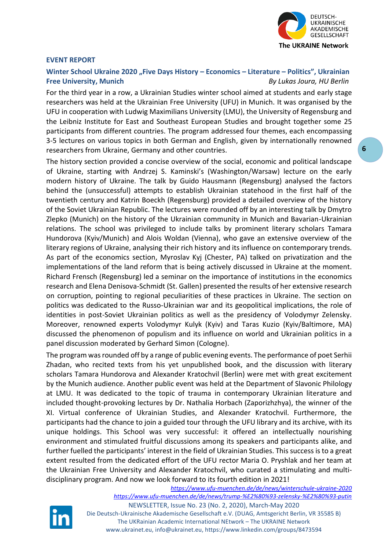

#### **EVENT REPORT**

# **Winter School Ukraine 2020 "Five Days History – Economics – Literature – Politics", Ukrainian Free University, Munich** *By Lukas Joura, HU Berlin*

For the third year in a row, a Ukrainian Studies winter school aimed at students and early stage researchers was held at the Ukrainian Free University (UFU) in Munich. It was organised by the UFU in cooperation with Ludwig Maximilians University (LMU), the University of Regensburg and the Leibniz Institute for East and Southeast European Studies and brought together some 25 participants from different countries. The program addressed four themes, each encompassing 3-5 lectures on various topics in both German and English, given by internationally renowned researchers from Ukraine, Germany and other countries.

The history section provided a concise overview of the social, economic and political landscape of Ukraine, starting with Andrzej S. Kaminski's (Washington/Warsaw) lecture on the early modern history of Ukraine. The talk by Guido Hausmann (Regensburg) analysed the factors behind the (unsuccessful) attempts to establish Ukrainian statehood in the first half of the twentieth century and Katrin Boeckh (Regensburg) provided a detailed overview of the history of the Soviet Ukrainian Republic. The lectures were rounded off by an interesting talk by Dmytro Zlepko (Munich) on the history of the Ukrainian community in Munich and Bavarian-Ukrainian relations. The school was privileged to include talks by prominent literary scholars Tamara Hundorova (Kyiv/Munich) and Alois Woldan (Vienna), who gave an extensive overview of the literary regions of Ukraine, analysing their rich history and its influence on contemporary trends. As part of the economics section, Myroslav Kyj (Chester, PA) talked on privatization and the implementations of the land reform that is being actively discussed in Ukraine at the moment. Richard Frensch (Regensburg) led a seminar on the importance of institutions in the economics research and Elena Denisova-Schmidt (St. Gallen) presented the results of her extensive research on corruption, pointing to regional peculiarities of these practices in Ukraine. The section on politics was dedicated to the Russo-Ukrainian war and its geopolitical implications, the role of identities in post-Soviet Ukrainian politics as well as the presidency of Volodymyr Zelensky. Moreover, renowned experts Volodymyr Kulyk (Kyiv) and Taras Kuzio (Kyiv/Baltimore, MA) discussed the phenomenon of populism and its influence on world and Ukrainian politics in a panel discussion moderated by Gerhard Simon (Cologne).

The program was rounded off by a range of public evening events. The performance of poet Serhii Zhadan, who recited texts from his yet unpublished book, and the discussion with literary scholars Tamara Hundorova and Alexander Kratochvil (Berlin) were met with great excitement by the Munich audience. Another public event was held at the Department of Slavonic Philology at LMU. It was dedicated to the topic of trauma in contemporary Ukrainian literature and included thought-provoking lectures by Dr. Nathalia Horbach (Zaporizhzhya), the winner of the XI. Virtual conference of Ukrainian Studies, and Alexander Kratochvil. Furthermore, the participants had the chance to join a guided tour through the UFU library and its archive, with its unique holdings. This School was very successful: it offered an intellectually nourishing environment and stimulated fruitful discussions among its speakers and participants alike, and further fuelled the participants' interest in the field of Ukrainian Studies. This success is to a great extent resulted from the dedicated effort of the UFU rector Maria O. Pryshlak and her team at the Ukrainian Free University and Alexander Kratochvil, who curated a stimulating and multidisciplinary program. And now we look forward to its fourth edition in 2021!



*<https://www.ufu-muenchen.de/de/news/winterschule-ukraine-2020> <https://www.ufu-muenchen.de/de/news/trump-%E2%80%93-zelensky-%E2%80%93-putin>*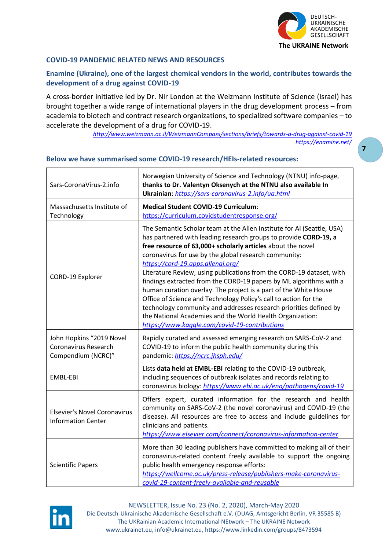

**7**

## **COVID-19 PANDEMIC RELATED NEWS AND RESOURCES**

# **Enamine (Ukraine), one of the largest chemical vendors in the world, contributes towards the development of a drug against COVID-19**

A cross-border initiative led by Dr. Nir London at the Weizmann Institute of Science (Israel) has brought together a wide range of international players in the drug development process – from academia to biotech and contract research organizations, to specialized software companies – to accelerate the development of a drug for COVID-19.

*<http://www.weizmann.ac.il/WeizmannCompass/sections/briefs/towards-a-drug-against-covid-19> <https://enamine.net/>*

| Sars-CoronaVirus-2.info                                                | Norwegian University of Science and Technology (NTNU) info-page,<br>thanks to Dr. Valentyn Oksenych at the NTNU also available In<br>Ukrainian: https://sars-coronavirus-2.info/ua.html                                                                                                                                                                                                                                                                                                                                                                                                                                                                                                                                                                                          |  |
|------------------------------------------------------------------------|----------------------------------------------------------------------------------------------------------------------------------------------------------------------------------------------------------------------------------------------------------------------------------------------------------------------------------------------------------------------------------------------------------------------------------------------------------------------------------------------------------------------------------------------------------------------------------------------------------------------------------------------------------------------------------------------------------------------------------------------------------------------------------|--|
| Massachusetts Institute of<br>Technology                               | <b>Medical Student COVID-19 Curriculum:</b><br>https://curriculum.covidstudentresponse.org/                                                                                                                                                                                                                                                                                                                                                                                                                                                                                                                                                                                                                                                                                      |  |
| CORD-19 Explorer                                                       | The Semantic Scholar team at the Allen Institute for AI (Seattle, USA)<br>has partnered with leading research groups to provide CORD-19, a<br>free resource of 63,000+ scholarly articles about the novel<br>coronavirus for use by the global research community:<br>https://cord-19.apps.allenai.org/<br>Literature Review, using publications from the CORD-19 dataset, with<br>findings extracted from the CORD-19 papers by ML algorithms with a<br>human curation overlay. The project is a part of the White House<br>Office of Science and Technology Policy's call to action for the<br>technology community and addresses research priorities defined by<br>the National Academies and the World Health Organization:<br>https://www.kaggle.com/covid-19-contributions |  |
| John Hopkins "2019 Novel<br>Coronavirus Research<br>Compendium (NCRC)" | Rapidly curated and assessed emerging research on SARS-CoV-2 and<br>COVID-19 to inform the public health community during this<br>pandemic: https://ncrc.jhsph.edu/                                                                                                                                                                                                                                                                                                                                                                                                                                                                                                                                                                                                              |  |
| EMBL-EBI                                                               | Lists data held at EMBL-EBI relating to the COVID-19 outbreak,<br>including sequences of outbreak isolates and records relating to<br>coronavirus biology: https://www.ebi.ac.uk/ena/pathogens/covid-19                                                                                                                                                                                                                                                                                                                                                                                                                                                                                                                                                                          |  |
| <b>Elsevier's Novel Coronavirus</b><br><b>Information Center</b>       | Offers expert, curated information for the research and health<br>community on SARS-CoV-2 (the novel coronavirus) and COVID-19 (the<br>disease). All resources are free to access and include guidelines for<br>clinicians and patients.<br>https://www.elsevier.com/connect/coronavirus-information-center                                                                                                                                                                                                                                                                                                                                                                                                                                                                      |  |
| <b>Scientific Papers</b>                                               | More than 30 leading publishers have committed to making all of their<br>coronavirus-related content freely available to support the ongoing<br>public health emergency response efforts:<br>https://wellcome.ac.uk/press-release/publishers-make-coronavirus-<br>covid-19-content-freely-available-and-reusable                                                                                                                                                                                                                                                                                                                                                                                                                                                                 |  |

## **Below we have summarised some COVID-19 research/HEIs-related resources:**

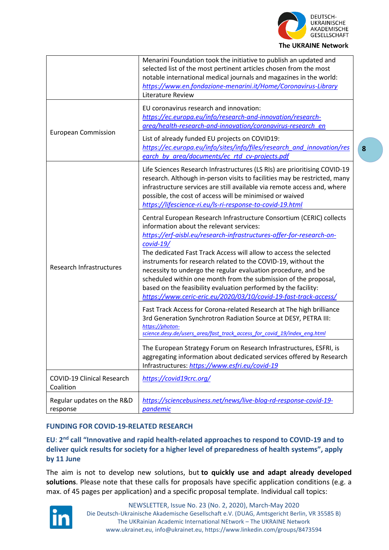

|                                                | Menarini Foundation took the initiative to publish an updated and<br>selected list of the most pertinent articles chosen from the most<br>notable international medical journals and magazines in the world:<br>https://www.en.fondazione-menarini.it/Home/Coronavirus-Library<br>Literature Review                                                                                                                                                                                                                                                                                                                     |
|------------------------------------------------|-------------------------------------------------------------------------------------------------------------------------------------------------------------------------------------------------------------------------------------------------------------------------------------------------------------------------------------------------------------------------------------------------------------------------------------------------------------------------------------------------------------------------------------------------------------------------------------------------------------------------|
| <b>European Commission</b>                     | EU coronavirus research and innovation:<br>https://ec.europa.eu/info/research-and-innovation/research-<br>area/health-research-and-innovation/coronavirus-research_en                                                                                                                                                                                                                                                                                                                                                                                                                                                   |
|                                                | List of already funded EU projects on COVID19:<br>https://ec.europa.eu/info/sites/info/files/research_and_innovation/res<br>earch_by_area/documents/ec_rtd_cv-projects.pdf                                                                                                                                                                                                                                                                                                                                                                                                                                              |
| <b>Research Infrastructures</b>                | Life Sciences Research Infrastructures (LS RIs) are prioritising COVID-19<br>research. Although in-person visits to facilities may be restricted, many<br>infrastructure services are still available via remote access and, where<br>possible, the cost of access will be minimised or waived<br>https://lifescience-ri.eu/ls-ri-response-to-covid-19.html                                                                                                                                                                                                                                                             |
|                                                | Central European Research Infrastructure Consortium (CERIC) collects<br>information about the relevant services:<br>https://erf-aisbl.eu/research-infrastructures-offer-for-research-on-<br>$covid-19/$<br>The dedicated Fast Track Access will allow to access the selected<br>instruments for research related to the COVID-19, without the<br>necessity to undergo the regular evaluation procedure, and be<br>scheduled within one month from the submission of the proposal,<br>based on the feasibility evaluation performed by the facility:<br>https://www.ceric-eric.eu/2020/03/10/covid-19-fast-track-access/ |
|                                                | Fast Track Access for Corona-related Research at The high brilliance<br>3rd Generation Synchrotron Radiation Source at DESY, PETRA III:<br>https://photon-<br>science.desy.de/users area/fast track access for covid 19/index eng.html                                                                                                                                                                                                                                                                                                                                                                                  |
|                                                | The European Strategy Forum on Research Infrastructures, ESFRI, is<br>aggregating information about dedicated services offered by Research<br>Infrastructures: https://www.esfri.eu/covid-19                                                                                                                                                                                                                                                                                                                                                                                                                            |
| <b>COVID-19 Clinical Research</b><br>Coalition | https://covid19crc.org/                                                                                                                                                                                                                                                                                                                                                                                                                                                                                                                                                                                                 |
| Regular updates on the R&D<br>response         | https://sciencebusiness.net/news/live-blog-rd-response-covid-19-<br>pandemic                                                                                                                                                                                                                                                                                                                                                                                                                                                                                                                                            |

# **FUNDING FOR COVID-19-RELATED RESEARCH**

# **EU**: **2 nd call "Innovative and rapid health-related approaches to respond to COVID-19 and to deliver quick results for society for a higher level of preparedness of health systems", apply by 11 June**

The aim is not to develop new solutions, but **to quickly use and adapt already developed solutions**. Please note that these calls for proposals have specific application conditions (e.g. a max. of 45 pages per application) and a specific proposal template. Individual call topics:

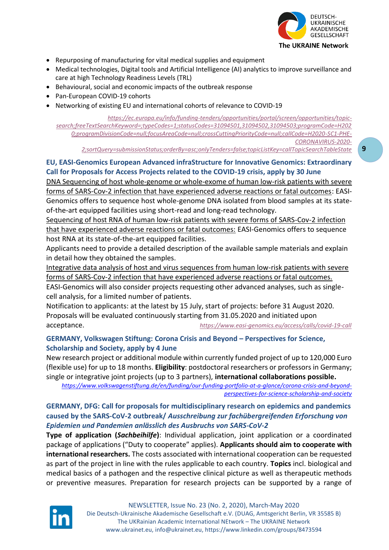

- Repurposing of manufacturing for vital medical supplies and equipment
- Medical technologies, Digital tools and Artificial Intelligence (AI) analytics to improve surveillance and care at high Technology Readiness Levels (TRL)
- Behavioural, social and economic impacts of the outbreak response
- Pan-European COVID-19 cohorts
- Networking of existing EU and international cohorts of relevance to COVID-19

*[https://ec.europa.eu/info/funding-tenders/opportunities/portal/screen/opportunities/topic](https://ec.europa.eu/info/funding-tenders/opportunities/portal/screen/opportunities/topic-search;freeTextSearchKeyword=;typeCodes=1;statusCodes=31094501,31094502,31094503;programCode=H2020;programDivisionCode=null;focusAreaCode=null;crossCuttingPriorityCode=null;callCode=H2020-SC1-PHE-CORONAVIRUS-2020-2;sortQuery=submissionStatus;orderBy=asc;onlyTenders=false;topicListKey=callTopicSearchTableState)[search;freeTextSearchKeyword=;typeCodes=1;statusCodes=31094501,31094502,31094503;programCode=H202](https://ec.europa.eu/info/funding-tenders/opportunities/portal/screen/opportunities/topic-search;freeTextSearchKeyword=;typeCodes=1;statusCodes=31094501,31094502,31094503;programCode=H2020;programDivisionCode=null;focusAreaCode=null;crossCuttingPriorityCode=null;callCode=H2020-SC1-PHE-CORONAVIRUS-2020-2;sortQuery=submissionStatus;orderBy=asc;onlyTenders=false;topicListKey=callTopicSearchTableState) [0;programDivisionCode=null;focusAreaCode=null;crossCuttingPriorityCode=null;callCode=H2020-SC1-PHE-](https://ec.europa.eu/info/funding-tenders/opportunities/portal/screen/opportunities/topic-search;freeTextSearchKeyword=;typeCodes=1;statusCodes=31094501,31094502,31094503;programCode=H2020;programDivisionCode=null;focusAreaCode=null;crossCuttingPriorityCode=null;callCode=H2020-SC1-PHE-CORONAVIRUS-2020-2;sortQuery=submissionStatus;orderBy=asc;onlyTenders=false;topicListKey=callTopicSearchTableState)[CORONAVIRUS-2020-](https://ec.europa.eu/info/funding-tenders/opportunities/portal/screen/opportunities/topic-search;freeTextSearchKeyword=;typeCodes=1;statusCodes=31094501,31094502,31094503;programCode=H2020;programDivisionCode=null;focusAreaCode=null;crossCuttingPriorityCode=null;callCode=H2020-SC1-PHE-CORONAVIRUS-2020-2;sortQuery=submissionStatus;orderBy=asc;onlyTenders=false;topicListKey=callTopicSearchTableState)*

*[2;sortQuery=submissionStatus;orderBy=asc;onlyTenders=false;topicListKey=callTopicSearchTableState](https://ec.europa.eu/info/funding-tenders/opportunities/portal/screen/opportunities/topic-search;freeTextSearchKeyword=;typeCodes=1;statusCodes=31094501,31094502,31094503;programCode=H2020;programDivisionCode=null;focusAreaCode=null;crossCuttingPriorityCode=null;callCode=H2020-SC1-PHE-CORONAVIRUS-2020-2;sortQuery=submissionStatus;orderBy=asc;onlyTenders=false;topicListKey=callTopicSearchTableState)*

# **EU, EASI-Genomics European Advanced infraStructure for Innovative Genomics: Extraordinary Call for Proposals for Access Projects related to the COVID-19 crisis, apply by 30 June**

DNA Sequencing of host whole-genome or whole-exome of human low-risk patients with severe forms of SARS-Cov-2 infection that have experienced adverse reactions or fatal outcomes: EASI-Genomics offers to sequence host whole-genome DNA isolated from blood samples at its stateof-the-art equipped facilities using short-read and long-read technology.

Sequencing of host RNA of human low-risk patients with severe forms of SARS-Cov-2 infection that have experienced adverse reactions or fatal outcomes: EASI-Genomics offers to sequence host RNA at its state-of-the-art equipped facilities.

Applicants need to provide a detailed description of the available sample materials and explain in detail how they obtained the samples.

Integrative data analysis of host and virus sequences from human low-risk patients with severe forms of SARS-Cov-2 infection that have experienced adverse reactions or fatal outcomes.

EASI-Genomics will also consider projects requesting other advanced analyses, such as singlecell analysis, for a limited number of patients.

Notification to applicants: at the latest by 15 July, start of projects: before 31 August 2020. Proposals will be evaluated continuously starting from 31.05.2020 and initiated upon acceptance. *<https://www.easi-genomics.eu/access/calls/covid-19-call>*

# **GERMANY, Volkswagen Stiftung: Corona Crisis and Beyond – Perspectives for Science, Scholarship and Society, apply by 4 June**

New research project or additional module within currently funded project of up to 120,000 Euro (flexible use) for up to 18 months. **Eligibility**: postdoctoral researchers or professors in Germany; single or integrative joint projects (up to 3 partners), **international collaborations possible.**

*[https://www.volkswagenstiftung.de/en/funding/our-funding-portfolio-at-a-glance/corona-crisis-and-beyond](https://www.volkswagenstiftung.de/en/funding/our-funding-portfolio-at-a-glance/corona-crisis-and-beyond-perspectives-for-science-scholarship-and-society)[perspectives-for-science-scholarship-and-society](https://www.volkswagenstiftung.de/en/funding/our-funding-portfolio-at-a-glance/corona-crisis-and-beyond-perspectives-for-science-scholarship-and-society)*

# **GERMANY, DFG: Call for proposals for multidisciplinary research on epidemics and pandemics caused by the SARS-CoV-2 outbreak/** *Ausschreibung zur fachübergreifenden Erforschung von Epidemien und Pandemien anlässlich des Ausbruchs von SARS-CoV-2*

**Type of application (***Sachbeihilfe***)**: Individual application, joint application or a coordinated package of applications ("Duty to cooperate" applies). **Applicants should aim to cooperate with international researchers.** The costs associated with international cooperation can be requested as part of the project in line with the rules applicable to each country. **Topics** incl. biological and medical basics of a pathogen and the respective clinical picture as well as therapeutic methods or preventive measures. Preparation for research projects can be supported by a range of

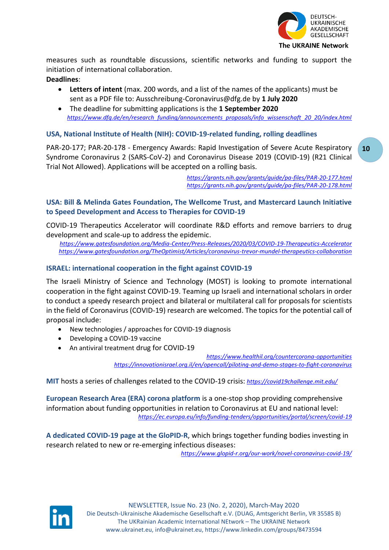

measures such as roundtable discussions, scientific networks and funding to support the initiation of international collaboration.

**Deadlines**:

- **Letters of intent** (max. 200 words, and a list of the names of the applicants) must be sent as a PDF file to: Ausschreibung-Coronavirus@dfg.de by **1 July 2020**
- The deadline for submitting applications is the **1 September 2020** *[https://www.dfg.de/en/research\\_funding/announcements\\_proposals/info\\_wissenschaft\\_20\\_20/index.html](https://www.dfg.de/en/research_funding/announcements_proposals/info_wissenschaft_20_20/index.html)*

# **USA, National Institute of Health (NIH): COVID-19-related funding, rolling deadlines**

PAR-20-177; PAR-20-178 - Emergency Awards: Rapid Investigation of Severe Acute Respiratory Syndrome Coronavirus 2 (SARS-CoV-2) and Coronavirus Disease 2019 (COVID-19) (R21 Clinical Trial Not Allowed). Applications will be accepted on a rolling basis.

> *<https://grants.nih.gov/grants/guide/pa-files/PAR-20-177.html> <https://grants.nih.gov/grants/guide/pa-files/PAR-20-178.html>*

# **USA: Bill & Melinda Gates Foundation, The Wellcome Trust, and Mastercard Launch Initiative to Speed Development and Access to Therapies for COVID-19**

COVID-19 Therapeutics Accelerator will coordinate R&D efforts and remove barriers to drug development and scale-up to address the epidemic.

*<https://www.gatesfoundation.org/Media-Center/Press-Releases/2020/03/COVID-19-Therapeutics-Accelerator> https://www.gatesfoundation.org/TheOptimist/Articles/coronavirus-trevor-mundel-therapeutics-collaboration*

# **ISRAEL: international cooperation in the fight against COVID-19**

The Israeli Ministry of Science and Technology (MOST) is looking to promote international cooperation in the fight against COVID-19. Teaming up Israeli and international scholars in order to conduct a speedy research project and bilateral or multilateral call for proposals for scientists in the field of Coronavirus (COVID-19) research are welcomed. The topics for the potential call of proposal include:

- New technologies / approaches for COVID-19 diagnosis
- Developing a COVID-19 vaccine
- An antiviral treatment drug for COVID-19

*<https://www.healthil.org/countercorona-opportunities> <https://innovationisrael.org.il/en/opencall/piloting-and-demo-stages-to-fight-coronavirus>*

**MIT** hosts a series of challenges related to the COVID-19 crisis: *<https://covid19challenge.mit.edu/>*

**European Research Area (ERA) corona platform** is a one-stop shop providing comprehensive information about funding opportunities in relation to Coronavirus at EU and national level: *<https://ec.europa.eu/info/funding-tenders/opportunities/portal/screen/covid-19>*

**A dedicated COVID-19 page at the GloPID-R**, which brings together funding bodies investing in research related to new or re-emerging infectious diseases:

*<https://www.glopid-r.org/our-work/novel-coronavirus-covid-19/>*

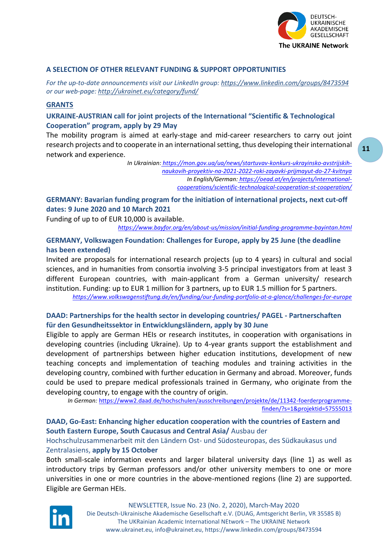

#### **A SELECTION OF OTHER RELEVANT FUNDING & SUPPORT OPPORTUNITIES**

*For the up-to-date announcements visit our LinkedIn group:<https://www.linkedin.com/groups/8473594> or our web-page:<http://ukrainet.eu/category/fund/>*

## **GRANTS**

**UKRAINE-AUSTRIAN call for joint projects of the International "Scientific & Technological Cooperation" program, apply by 29 May**

The mobility program is aimed at early-stage and mid-career researchers to carry out joint research projects and to cooperate in an international setting, thus developing their international network and experience.

> *In Ukrainian: [https://mon.gov.ua/ua/news/startuvav-konkurs-ukrayinsko-avstrijskih](https://mon.gov.ua/ua/news/startuvav-konkurs-ukrayinsko-avstrijskih-naukovih-proyektiv-na-2021-2022-roki-zayavki-prijmayut-do-27-kvitnya)[naukovih-proyektiv-na-2021-2022-roki-zayavki-prijmayut-do-27-kvitnya](https://mon.gov.ua/ua/news/startuvav-konkurs-ukrayinsko-avstrijskih-naukovih-proyektiv-na-2021-2022-roki-zayavki-prijmayut-do-27-kvitnya) In English/German: [https://oead.at/en/projects/international](https://oead.at/en/projects/international-cooperations/scientific-technological-cooperation-st-cooperation/)[cooperations/scientific-technological-cooperation-st-cooperation/](https://oead.at/en/projects/international-cooperations/scientific-technological-cooperation-st-cooperation/)*

**GERMANY: Bavarian funding program for the initiation of international projects, next cut-off dates: 9 June 2020 and 10 March 2021**

Funding of up to of EUR 10,000 is available.

*<https://www.bayfor.org/en/about-us/mission/initial-funding-programme-bayintan.html>*

## **GERMANY, Volkswagen Foundation: Challenges for Europe, apply by 25 June (the deadline has been extended)**

Invited are proposals for international research projects (up to 4 years) in cultural and social sciences, and in humanities from consortia involving 3-5 principal investigators from at least 3 different European countries, with main-applicant from a German university/ research institution. Funding: up to EUR 1 million for 3 partners, up to EUR 1.5 million for 5 partners.

*<https://www.volkswagenstiftung.de/en/funding/our-funding-portfolio-at-a-glance/challenges-for-europe>*

## **DAAD: Partnerships for the health sector in developing countries/ PAGEL - Partnerschaften für den Gesundheitssektor in Entwicklungsländern, apply by 30 June**

Eligible to apply are German HEIs or research institutes, in cooperation with organisations in developing countries (including Ukraine). Up to 4-year grants support the establishment and development of partnerships between higher education institutions, development of new teaching concepts and implementation of teaching modules and training activities in the developing country, combined with further education in Germany and abroad. Moreover, funds could be used to prepare medical professionals trained in Germany, who originate from the developing country, to engage with the country of origin.

*In German:* [https://www2.daad.de/hochschulen/ausschreibungen/projekte/de/11342-foerderprogramme](https://www2.daad.de/hochschulen/ausschreibungen/projekte/de/11342-foerderprogramme-finden/?s=1&projektid=57555013)[finden/?s=1&projektid=57555013](https://www2.daad.de/hochschulen/ausschreibungen/projekte/de/11342-foerderprogramme-finden/?s=1&projektid=57555013)

# **DAAD, Go-East: Enhancing higher education cooperation with the countries of Eastern and South Eastern Europe, South Caucasus and Central Asia/** Ausbau der

## Hochschulzusammenarbeit mit den Ländern Ost- und Südosteuropas, des Südkaukasus und Zentralasiens, **apply by 15 October**

Both small-scale information events and larger bilateral university days (line 1) as well as introductory trips by German professors and/or other university members to one or more universities in one or more countries in the above-mentioned regions (line 2) are supported. Eligible are German HEIs.

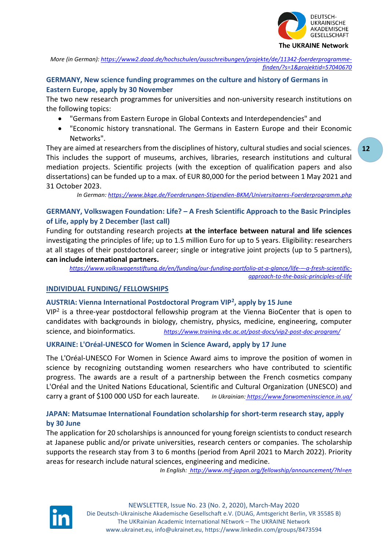

*More (in German): [https://www2.daad.de/hochschulen/ausschreibungen/projekte/de/11342-foerderprogramme](https://www2.daad.de/hochschulen/ausschreibungen/projekte/de/11342-foerderprogramme-finden/?s=1&projektid=57040670)[finden/?s=1&projektid=57040670](https://www2.daad.de/hochschulen/ausschreibungen/projekte/de/11342-foerderprogramme-finden/?s=1&projektid=57040670)*

# **GERMANY, New science funding programmes on the culture and history of Germans in Eastern Europe, apply by 30 November**

The two new research programmes for universities and non-university research institutions on the following topics:

- "Germans from Eastern Europe in Global Contexts and Interdependencies" and
- "Economic history transnational. The Germans in Eastern Europe and their Economic Networks".

They are aimed at researchers from the disciplines of history, cultural studies and social sciences. This includes the support of museums, archives, libraries, research institutions and cultural mediation projects. Scientific projects (with the exception of qualification papers and also dissertations) can be funded up to a max. of EUR 80,000 for the period between 1 May 2021 and 31 October 2023.

*In German[: https://www.bkge.de/Foerderungen-Stipendien-BKM/Universitaeres-Foerderprogramm.php](https://www.bkge.de/Foerderungen-Stipendien-BKM/Universitaeres-Foerderprogramm.php)*

# **GERMANY, Volkswagen Foundation: Life? – A Fresh Scientific Approach to the Basic Principles of Life, apply by 2 December (last call)**

Funding for outstanding research projects **at the interface between natural and life sciences** investigating the principles of life; up to 1.5 million Euro for up to 5 years. Eligibility: researchers at all stages of their postdoctoral career; single or integrative joint projects (up to 5 partners), **can include international partners.**

*[https://www.volkswagenstiftung.de/en/funding/our-funding-portfolio-at-a-glance/life-](https://www.volkswagenstiftung.de/en/funding/our-funding-portfolio-at-a-glance/life-–-a-fresh-scientific-approach-to-the-basic-principles-of-life)–-a-fresh-scientific[approach-to-the-basic-principles-of-life](https://www.volkswagenstiftung.de/en/funding/our-funding-portfolio-at-a-glance/life-–-a-fresh-scientific-approach-to-the-basic-principles-of-life)*

# **INDIVIDUAL FUNDING/ FELLOWSHIPS**

# **AUSTRIA: Vienna International Postdoctoral Program VIP<sup>2</sup> , apply by 15 June**

VIP<sup>2</sup> is a three-year postdoctoral fellowship program at the Vienna BioCenter that is open to candidates with backgrounds in biology, chemistry, physics, medicine, engineering, computer science, and bioinformatics. *<https://www.training.vbc.ac.at/post-docs/vip2-post-doc-program/>*

## **UKRAINE: L'Oréal-UNESCO for Women in Science Award, apply by 17 June**

The L'Oréal-UNESCO For Women in Science Award aims to improve the position of [women in](https://en.wikipedia.org/wiki/Women_in_science)  [science](https://en.wikipedia.org/wiki/Women_in_science) by recognizing outstanding women researchers who have contributed to scientific progress. The awards are a result of a partnership between the [French](https://en.wikipedia.org/wiki/France) [cosmetics](https://en.wikipedia.org/wiki/Cosmetics) company [L'Oréal](https://en.wikipedia.org/wiki/L%27Or%C3%A9al) and the [United Nations Educational, Scientific and Cultural Organization](https://en.wikipedia.org/wiki/United_Nations_Educational,_Scientific_and_Cultural_Organization) (UNESCO) and carry a grant of \$100 000 [USD](https://en.wikipedia.org/wiki/USD) for each laureate. *In Ukrainian: <https://www.forwomeninscience.in.ua/>*

# **JAPAN: Matsumae International Foundation scholarship for short-term research stay, apply by 30 June**

The application for 20 scholarships is announced for young foreign scientists to conduct research at Japanese public and/or private universities, research centers or companies. The scholarship supports the research stay from 3 to 6 months (period from April 2021 to March 2022). Priority areas for research include natural sciences, engineering and medicine.

*In English: http://www.mif-japan.org/fellowship/announcement/?hl=en*



**12**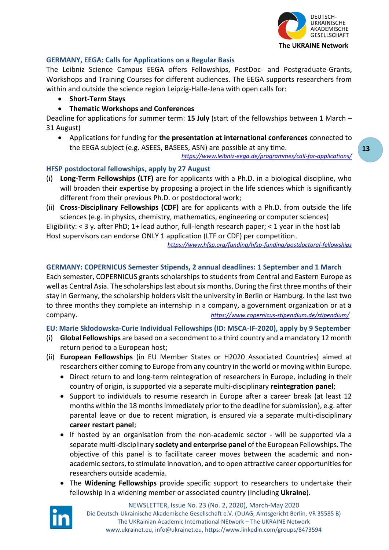

## **GERMANY, EEGA: Calls for Applications on a Regular Basis**

The Leibniz Science Campus EEGA offers Fellowships, PostDoc- and Postgraduate-Grants, Workshops and Training Courses for different audiences. The EEGA supports researchers from within and outside the science region Leipzig-Halle-Jena with open calls for:

- **Short-Term Stays**
- **Thematic Workshops and Conferences**

Deadline for applications for summer term: **15 July** (start of the fellowships between 1 March – 31 August)

• Applications for funding for **the presentation at international conferences** connected to the EEGA subject (e.g. ASEES, BASEES, ASN) are possible at any time.

*<https://www.leibniz-eega.de/programmes/call-for-applications/>*

## **HFSP postdoctoral fellowships, apply by 27 August**

- (i) **Long-Term Fellowships (LTF)** are for applicants with a Ph.D. in a biological discipline, who will broaden their expertise by proposing a project in the life sciences which is significantly different from their previous Ph.D. or postdoctoral work;
- (ii) **Cross-Disciplinary Fellowships (CDF)** are for applicants with a Ph.D. from outside the life sciences (e.g. in physics, chemistry, mathematics, engineering or computer sciences)

Eligibility: < 3 y. after PhD; 1+ lead author, full-length research paper; < 1 year in the host lab Host supervisors can endorse ONLY 1 application (LTF or CDF) per competition.

*<https://www.hfsp.org/funding/hfsp-funding/postdoctoral-fellowships>*

## **GERMANY: COPERNICUS Semester Stipends, 2 annual deadlines: 1 September and 1 March**

Each semester, COPERNICUS grants scholarships to students from Central and Eastern Europe as well as Central Asia. The scholarships last about six months. During the first three months of their stay in Germany, the scholarship holders visit the university in Berlin or Hamburg. In the last two to three months they complete an internship in a company, a government organization or at a company. *<https://www.copernicus-stipendium.de/stipendium/>*

**EU: Marie Skłodowska-Curie Individual Fellowships (ID: MSCA-IF-2020), apply by 9 September**

- (i) **Global Fellowships** are based on a secondment to a third country and a mandatory 12 month return period to a European host;
- (ii) **European Fellowships** (in EU Member States or H2020 Associated Countries) aimed at researchers either coming to Europe from any country in the world or moving within Europe.
	- Direct return to and long-term reintegration of researchers in Europe, including in their country of origin, is supported via a separate multi-disciplinary **reintegration panel**;
	- Support to individuals to resume research in Europe after a career break (at least 12 months within the 18 months immediately prior to the deadline for submission), e.g. after parental leave or due to recent migration, is ensured via a separate multi-disciplinary **career restart panel**;
	- If hosted by an organisation from the non-academic sector will be supported via a separate multi-disciplinary **society and enterprise panel** of the European Fellowships. The objective of this panel is to facilitate career moves between the academic and nonacademic sectors, to stimulate innovation, and to open attractive career opportunities for researchers outside academia.
	- The **Widening Fellowships** provide specific support to researchers to undertake their fellowship in a widening member or associated country (including **Ukraine**).

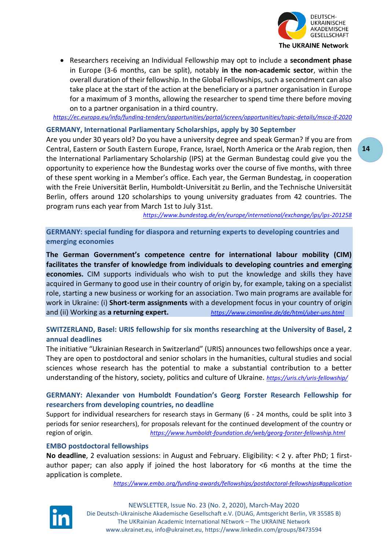

• Researchers receiving an Individual Fellowship may opt to include a **secondment phase** in Europe (3-6 months, can be split), notably **in the non-academic sector**, within the overall duration of their fellowship. In the Global Fellowships, such a secondment can also take place at the start of the action at the beneficiary or a partner organisation in Europe for a maximum of 3 months, allowing the researcher to spend time there before moving on to a partner organisation in a third country.

*<https://ec.europa.eu/info/funding-tenders/opportunities/portal/screen/opportunities/topic-details/msca-if-2020>*

## **GERMANY, International Parliamentary Scholarships, apply by 30 September**

Are you under 30 years old? Do you have a university degree and speak German? If you are from Central, Eastern or South Eastern Europe, France, Israel, North America or the Arab region, then the International Parliamentary Scholarship (IPS) at the German Bundestag could give you the opportunity to experience how the Bundestag works over the course of five months, with three of these spent working in a Member's office. Each year, the German Bundestag, in cooperation with the Freie Universität Berlin, Humboldt-Universität zu Berlin, and the Technische Universität Berlin, offers around 120 scholarships to young university graduates from 42 countries. The program runs each year from March 1st to July 31st.

*<https://www.bundestag.de/en/europe/international/exchange/ips/ips-201258>*

**GERMANY: special funding for diaspora and returning experts to developing countries and emerging economies**

**The [German Government's competence centre for international labour mobility \(CIM\)](https://www.cimonline.de/de/html/uber-uns.html) facilitates the transfer of knowledge from individuals to developing countries and emerging economies.** CIM supports individuals who wish to put the knowledge and skills they have acquired in Germany to good use in their country of origin by, for example, taking on a specialist role, starting a new business or working for an association. Two main programs are available for work in Ukraine: (i) **[Short-term assignments](https://www.cimonline.de/en/html/diaspora-experts.html)** with a development focus in your country of origin and (ii) Working as **[a returning expert.](https://www.cimonline.de/en/html/returning-experts.html)** *<https://www.cimonline.de/de/html/uber-uns.html>*

# **SWITZERLAND, Basel: URIS fellowship for six months researching at the University of Basel, 2 annual deadlines**

The initiative "Ukrainian Research in Switzerland" (URIS) announces two fellowships once a year. They are open to postdoctoral and senior scholars in the humanities, cultural studies and social sciences whose research has the potential to make a substantial contribution to a better understanding of the history, society, politics and culture of Ukraine. *<https://uris.ch/uris-fellowship/>*

# **GERMANY: Alexander von Humboldt Foundation's Georg Forster Research Fellowship for researchers from developing countries, no deadline**

Support for individual researchers for research stays in Germany (6 - 24 months, could be split into 3 periods for senior researchers), for proposals relevant for the continued development of the country or region of origin. *<https://www.humboldt-foundation.de/web/georg-forster-fellowship.html>*

## **EMBO postdoctoral fellowships**

**No deadline**, 2 evaluation sessions: in August and February. Eligibility: < 2 y. after PhD; 1 firstauthor paper; can also apply if joined the host laboratory for <6 months at the time the application is complete.

*<https://www.embo.org/funding-awards/fellowships/postdoctoral-fellowships#application>*

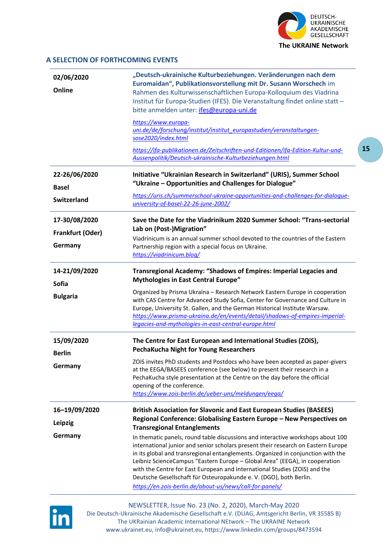

**15**

#### **A SELECTION OF FORTHCOMING EVENTS**

| 02/06/2020<br>Online                             | "Deutsch-ukrainische Kulturbeziehungen. Veränderungen nach dem<br>Euromaidan", Publikationsvorstellung mit Dr. Susann Worschech im<br>Rahmen des Kulturwissenschaftlichen Europa-Kolloquium des Viadrina<br>Institut für Europa-Studien (IFES). Die Veranstaltung findet online statt -<br>bitte anmelden unter: ifes@europa-uni.de                                                                                                                                                                                                                                                                                                                                                                                                                  |
|--------------------------------------------------|------------------------------------------------------------------------------------------------------------------------------------------------------------------------------------------------------------------------------------------------------------------------------------------------------------------------------------------------------------------------------------------------------------------------------------------------------------------------------------------------------------------------------------------------------------------------------------------------------------------------------------------------------------------------------------------------------------------------------------------------------|
|                                                  | https://www.europa-<br>uni.de/de/forschung/institut/institut_europastudien/veranstaltungen-<br>sose2020/index.html<br>https://ifa-publikationen.de/Zeitschriften-und-Editionen/ifa-Edition-Kultur-und-                                                                                                                                                                                                                                                                                                                                                                                                                                                                                                                                               |
| 22-26/06/2020<br><b>Basel</b>                    | Aussenpolitik/Deutsch-ukrainische-Kulturbeziehungen.html<br>Initiative "Ukrainian Research in Switzerland" (URIS), Summer School<br>"Ukraine - Opportunities and Challenges for Dialogue"                                                                                                                                                                                                                                                                                                                                                                                                                                                                                                                                                            |
| <b>Switzerland</b>                               | https://uris.ch/summerschool-ukraine-opportunities-and-challenges-for-dialogue-<br>university-of-basel-22-26-june-2002/                                                                                                                                                                                                                                                                                                                                                                                                                                                                                                                                                                                                                              |
| 17-30/08/2020<br>Frankfurt (Oder)<br>Germany     | Save the Date for the Viadrinikum 2020 Summer School: "Trans-sectorial<br>Lab on (Post-)Migration"<br>Viadrinicum is an annual summer school devoted to the countries of the Eastern<br>Partnership region with a special focus on Ukraine.<br>https://viadrinicum.bloq/                                                                                                                                                                                                                                                                                                                                                                                                                                                                             |
| 14-21/09/2020<br><b>Sofia</b><br><b>Bulgaria</b> | Transregional Academy: "Shadows of Empires: Imperial Legacies and<br><b>Mythologies in East Central Europe"</b><br>Organized by Prisma Ukraïna - Research Network Eastern Europe in cooperation<br>with CAS Centre for Advanced Study Sofia, Center for Governance and Culture in<br>Europe, University St. Gallen, and the German Historical Institute Warsaw.<br>https://www.prisma-ukraina.de/en/events/detail/shadows-of-empires-imperial-<br>legacies-and-mythologies-in-east-central-europe.html                                                                                                                                                                                                                                               |
| 15/09/2020<br><b>Berlin</b><br>Germany           | The Centre for East European and International Studies (ZOiS),<br><b>PechaKucha Night for Young Researchers</b><br>ZOIS invites PhD students and Postdocs who have been accepted as paper-givers<br>at the EEGA/BASEES conference (see below) to present their research in a<br>PechaKucha style presentation at the Centre on the day before the official<br>opening of the conference.<br>https://www.zois-berlin.de/ueber-uns/meldungen/eega/                                                                                                                                                                                                                                                                                                     |
| 16-19/09/2020<br>Leipzig<br>Germany              | <b>British Association for Slavonic and East European Studies (BASEES)</b><br>Regional Conference: Globalising Eastern Europe - New Perspectives on<br><b>Transregional Entanglements</b><br>In thematic panels, round table discussions and interactive workshops about 100<br>international junior and senior scholars present their research on Eastern Europe<br>in its global and transregional entanglements. Organized in conjunction with the<br>Leibniz ScienceCampus "Eastern Europe - Global Area" (EEGA), in cooperation<br>with the Centre for East European and International Studies (ZOiS) and the<br>Deutsche Gesellschaft für Osteuropakunde e. V. (DGO), both Berlin.<br>https://en.zois-berlin.de/about-us/news/call-for-panels/ |

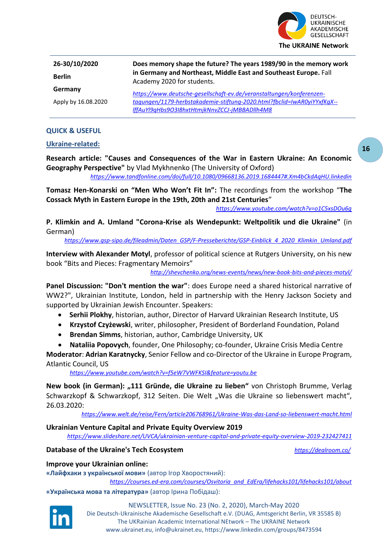

| 26-30/10/2020       | Does memory shape the future? The years 1989/90 in the memory work                                                       |
|---------------------|--------------------------------------------------------------------------------------------------------------------------|
| <b>Berlin</b>       | in Germany and Northeast, Middle East and Southeast Europe. Fall<br>Academy 2020 for students.                           |
| Germany             | https://www.deutsche-gesellschaft-ev.de/veranstaltungen/konferenzen-                                                     |
| Apply by 16.08.2020 | tagungen/1179-herbstakademie-stiftung-2020.html?fbclid=IwAR0yiYYxfKgX--<br>IffAuYl9qHbs9O3I8hxtHtmjkNnvZCCJ-jMBBADllh4M8 |

## **QUICK & USEFUL**

## **Ukraine-related:**

**Research article: "Causes and Consequences of the War in Eastern Ukraine: An Economic Geography Perspective"** by Vlad Mykhnenko (The University of Oxford)

*<https://www.tandfonline.com/doi/full/10.1080/09668136.2019.1684447#.Xm4bCkdAqHU.linkedin>*

**Tomasz Hen-Konarski on "Men Who Won't Fit In":** The recordings from the workshop "**The Cossack Myth in Eastern Europe in the 19th, 20th and 21st Centuries**"

*<https://www.youtube.com/watch?v=o1C5xsDOu6g>*

**P. Klimkin and A. Umland "Corona-Krise als Wendepunkt: Weltpolitik und die Ukraine"** (in German)

*[https://www.gsp-sipo.de/fileadmin/Daten\\_GSP/F-Presseberichte/GSP-Einblick\\_4\\_2020\\_Klimkin\\_Umland.pdf](https://www.gsp-sipo.de/fileadmin/Daten_GSP/F-Presseberichte/GSP-Einblick_4_2020_Klimkin_Umland.pdf)*

**Interview with Alexander Motyl**, professor of political science at Rutgers University, on his new book "Bits and Pieces: Fragmentary Memoirs"

*<http://shevchenko.org/news-events/news/new-book-bits-and-pieces-motyl/>*

**Panel Discussion: "Don't mention the war"**: does Europe need a shared historical narrative of WW2?", Ukrainian Institute, London, held in partnership with the Henry Jackson Society and supported by Ukrainian Jewish Encounter. Speakers:

- **Serhii Plokhy**, historian, author, Director of Harvard Ukrainian Research Institute, US
- **Krzystof Czyżewski**, writer, philosopher, President of Borderland Foundation, Poland
- **Brendan Simms**, historian, author, Cambridge University, UK
- **Nataliia Popovych**, founder, One Philosophy; co-founder, Ukraine Crisis Media Centre

**Moderator**: **Adrian Karatnycky**, Senior Fellow and co-Director of the Ukraine in Europe Program, Atlantic Council, US

*<https://www.youtube.com/watch?v=f5eW7VWFKSI&feature=youtu.be>*

**New book (in German): "111 Gründe, die Ukraine zu lieben"** von Christoph Brumme, Verlag Schwarzkopf & Schwarzkopf, 312 Seiten. Die Welt "Was die Ukraine so liebenswert macht", 26.03.2020:

*<https://www.welt.de/reise/Fern/article206768961/Ukraine-Was-das-Land-so-liebenswert-macht.html>*

#### **Ukrainian Venture Capital and Private Equity Overview 2019**

*<https://www.slideshare.net/UVCA/ukrainian-venture-capital-and-private-equity-overview-2019-232427411>*

## **Database of the Ukraine's Tech Ecosystem** *<https://dealroom.co/>*

## **Improve your Ukrainian online:**

**«Лайфхаки з української мови»** (автор Ігор Хворостяний):

*[https://courses.ed-era.com/courses/Osvitoria\\_and\\_EdEra/lifehacks101/lifehacks101/about](https://courses.ed-era.com/courses/Osvitoria_and_EdEra/lifehacks101/lifehacks101/about)*

**«Українська мова та література»** (автор Ірина Побідаш):